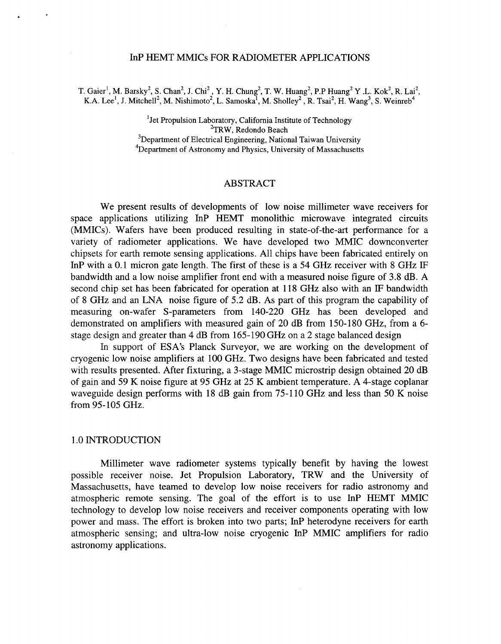# InP HEMT MMICs FOR RADIOMETER APPLICATIONS

T. Gaier<sup>1</sup>, M. Barsky<sup>2</sup>, S. Chan<sup>2</sup>, J. Chi<sup>2</sup>, Y. H. Chung<sup>2</sup>, T. W. Huang<sup>2</sup>, P.P Huang<sup>2</sup> Y .L. Kok<sup>2</sup>, R. Lai<sup>2</sup>, K.A. Lee<sup>1</sup>, J. Mitchell<sup>2</sup>, M. Nishimoto<sup>2</sup>, L. Samoska<sup>1</sup>, M. Sholley<sup>2</sup>, R. Tsai<sup>2</sup>, H. Wang<sup>3</sup>, S. Weinreb<sup>4</sup>

> <sup>1</sup> Jet Propulsion Laboratory, California Institute of Technology  ${}^{2}$ TRW, Redondo Beach <sup>3</sup>Department of Electrical Engineering, National Taiwan University  ${}^{4}$ Department of Astronomy and Physics, University of Massachusetts

## ABSTRACT

We present results of developments of low noise millimeter wave receivers for space applications utilizing InP HEMT monolithic microwave integrated circuits (MMICs). Wafers have been produced resulting in state-of-the-art performance for a variety of radiometer applications. We have developed two MMIC downconverter chipsets for earth remote sensing applications. All chips have been fabricated entirely on InP with a 0.1 micron gate length. The first of these is a 54 GHz receiver with 8 GHz IF bandwidth and a low noise amplifier front end with a measured noise figure of 3.8 dB. A second chip set has been fabricated for operation at 118 GHz also with an IF bandwidth of 8 GHz and an LNA noise figure of 5.2 dB. As part of this program the capability of measuring on-wafer S-parameters from 140-220 GHz has been developed and demonstrated on amplifiers with measured gain of 20 dB from 150-180 GHz, from a 6 stage design and greater than 4 dB from 165- 190 GHz on a 2 stage balanced design

In support of ESA's Planck Surveyor, we are working on the development of cryogenic low noise amplifiers at 100 GHz. Two designs have been fabricated and tested with results presented. After fixturing, a 3-stage MMIC microstrip design obtained 20 dB of gain and 59 K noise figure at 95 GHz at 25 K ambient temperature. **A** 4-stage coplanar waveguide design performs with 18 dB gain from 75-110 GHz and less than 50 K noise from 95-105 GHz.

## 1 .O INTRODUCTION

Millimeter wave radiometer systems typically benefit by having the lowest possible receiver noise. Jet Propulsion Laboratory, TRW and the University of Massachusetts, have teamed to develop low noise receivers for radio astronomy and atmospheric remote sensing. The goal of the effort is to use InP HEMT MMIC technology to develop low noise receivers and receiver components operating with low power and mass. The effort is broken into two parts; InP heterodyne receivers for earth atmospheric sensing; and ultra-low noise cryogenic InP MMIC amplifiers for radio astronomy applications.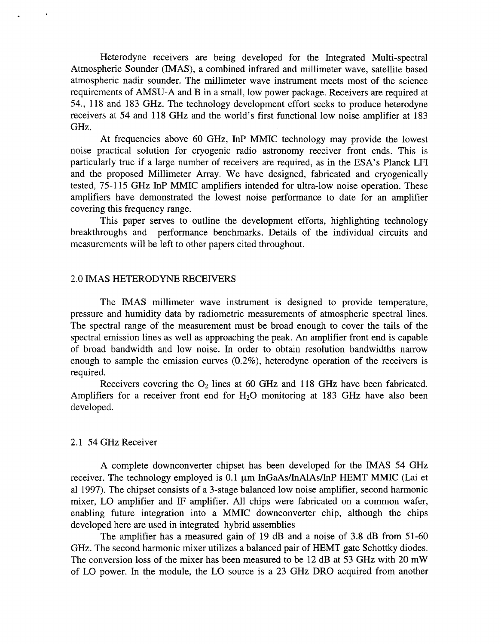Heterodyne receivers are being developed for the Integrated Multi-spectral Atmospheric Sounder (IMAS), a combined infrared and millimeter wave, satellite based atmospheric nadir sounder. The millimeter wave instrument meets most of the science requirements of AMSU-A and B in a small, low power package. Receivers are required at 54., 1 18 and 183 GHz. The technology development effort seeks to produce heterodyne receivers at 54 and 118 GHz and the world's first functional low noise amplifier at 183 GHz.

At frequencies above 60 GHz, InP MMIC technology may provide the lowest noise practical solution for cryogenic radio astronomy receiver front ends. This is particularly true if a large number of receivers are required, as in the ESA's Planck LFI and the proposed Millimeter Array. We have designed, fabricated and cryogenically tested, 75-1 15 GHz InP MMIC amplifiers intended for ultra-low noise operation. These amplifiers have demonstrated the lowest noise performance to date for an amplifier covering this frequency range.

This paper serves to outline the development efforts, highlighting technology breakthroughs and performance benchmarks. Details of the individual circuits and measurements will be left to other papers cited throughout.

# 2.0 IMAS HETERODYNE RECEIVERS

The IMAS millimeter wave instrument is designed to provide temperature, pressure and humidity data by radiometric measurements of atmospheric spectral lines. The spectral range of the measurement must be broad enough to cover the tails of the spectral emission lines as well as approaching the peak. An amplifier front end is capable of broad bandwidth and low noise. In order to obtain resolution bandwidths narrow enough to sample the emission curves (0.2%), heterodyne operation of the receivers is required.

Receivers covering the  $O_2$  lines at 60 GHz and 118 GHz have been fabricated. Amplifiers for a receiver front end for  $H_2O$  monitoring at 183 GHz have also been developed.

## 2.1 54 GHz Receiver

A complete downconverter chipset has been developed for the IMAS 54 GHz receiver. The technology employed is  $0.1 \mu m$  InGaAs/InAlAs/InP HEMT MMIC (Lai et a1 1997). The chipset consists of a 3-stage balanced low noise amplifier, second harmonic mixer, LO amplifier and IF amplifier. All chips were fabricated on a common wafer, enabling future integration into a MMIC downconverter chip, although the chips developed here are used in integrated hybrid assemblies

The amplifier has a measured gain of 19 dB and a noise of 3.8 dB from 51-60 GHz. The second harmonic mixer utilizes a balanced pair of HEMT gate Schottky diodes. The conversion loss of the mixer has been measured to be 12 dB at 53 GHz with 20 mW of LO power. In the module, the LO source is a 23 GHz DRO acquired from another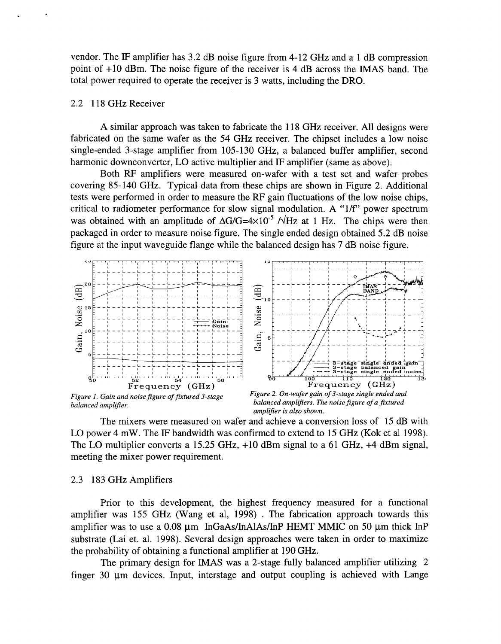vendor. The IF amplifier has 3.2 dB noise figure from 4- 12 GHz and a 1 dB compression point of +10 dBm. The noise figure of the receiver is 4 dB across the IMAS band. The total power required to operate the receiver is 3 watts, including the DRO.

# 2.2 1 18 GHz Receiver

A similar approach was taken to fabricate the 1 18 GHz receiver. All designs were fabricated on the same wafer as the 54 GHz receiver. The chipset includes a low noise single-ended 3-stage amplifier from 105-130 GHz, a balanced buffer amplifier, second harmonic downconverter, LO active multiplier and IF amplifier (same as above).

Both RF amplifiers were measured on-wafer with a test set and wafer probes covering 85-140 GHz. Typical data from these chips are shown in Figure 2. Additional tests were performed in order to measure the RF gain fluctuations of the low noise chips, critical to radiometer performance for slow signal modulation. A "1/f" power spectrum was obtained with an amplitude of  $\Delta G/G=4\times10^{-5}$  / $\sqrt{Hz}$  at 1 Hz. The chips were then packaged in order to measure noise figure. The single ended design obtained 5.2 dB noise figure at the input waveguide flange while the balanced design has 7 dB noise figure.



amplifier is also shown.

The mixers were measured on wafer and achieve a conversion loss of 15 dB with LO power 4 mW. The IF bandwidth was confirmed to extend to 15 GHz (Kok et al 1998). The LO multiplier converts a 15.25 GHz, +10 dBm signal to a 61 GHz, **+4** dBm signal, meeting the mixer power requirement.

## 2.3 183 GHz Amplifiers

Prior to this development, the highest frequency measured for a functional amplifier was 155 GHz (Wang et al, 1998) . The fabrication approach towards this amplifier was to use a  $0.08$  µm InGaAs/InAlAs/InP HEMT MMIC on 50 µm thick InP substrate (Lai et. al. 1998). Several design approaches were taken in order to maximize the probability of obtaining a functional amplifier at 190 GHz.

The primary design for IMAS was a 2-stage fully balanced amplifier utilizing 2 finger 30  $\mu$ m devices. Input, interstage and output coupling is achieved with Lange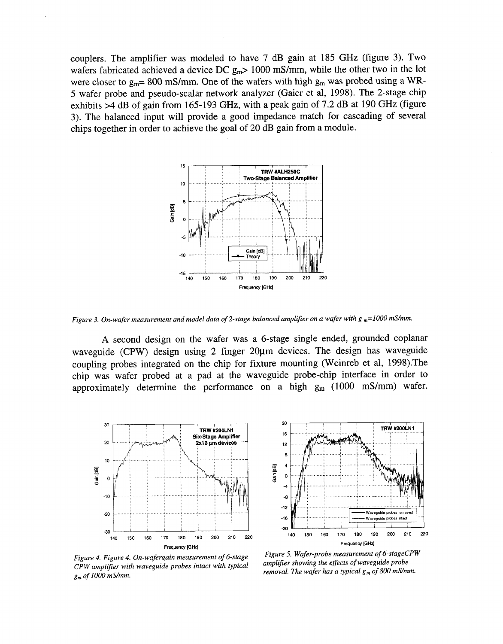couplers. The amplifier was modeled to have 7 dB gain at 185 GHz (figure 3). Two wafers fabricated achieved a device DC  $g_m$  > 1000 mS/mm, while the other two in the lot were closer to  $g_m = 800$  mS/mm. One of the wafers with high  $g_m$  was probed using a WR-5 wafer probe and pseudo-scalar network analyzer (Gaier et al, 1998). The 2-stage chip exhibits >4 dB of gain from 165-193 GHz, with a peak gain of 7.2 dB at 190 GHz (figure 3). The balanced input will provide a good impedance match for cascading of several chips together in order to achieve the goal of 20 dB gain from a module.



*Figure 3. On-wafer measurement and model data of 2-stage balanced amplifier on a wafer with g <sub>m</sub>=1000 mS/mm.* 

**A** second design on the wafer was a 6-stage single ended, grounded coplanar waveguide (CPW) design using 2 finger 20µm devices. The design has waveguide coupling probes integrated on the chip for fixture mounting (Weinreb et al, 1998).The chip was wafer probed at a pad at the waveguide probe-chip interface in order to approximately determine the performance on a high  $g_m$  (1000 mS/mm) wafer.





*Figure 4. Figure 4. On-wafergain measurement of 6-stage CPW amplifier with waveguide probes intact with typical g, of IO00 rnS/mm.* 

*Figure 5. Wafer-probe measurement of 6-stageCPW amplifier showing the effects of waveguide probe removal. The wafer has a typical*  $g_m$  *of 800 mS/mm.*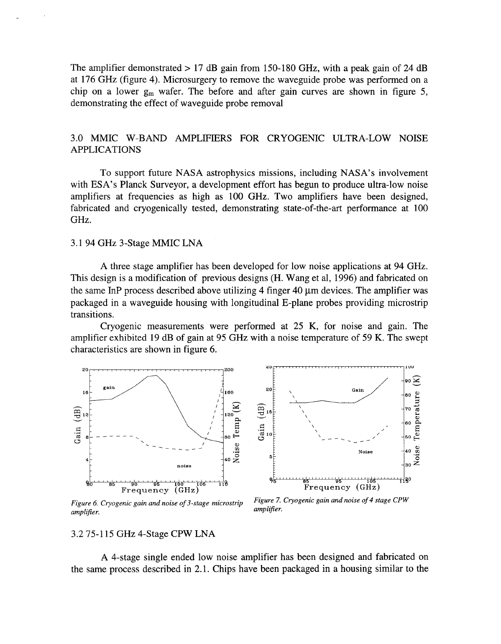The amplifier demonstrated  $> 17$  dB gain from 150-180 GHz, with a peak gain of 24 dB at 176 GHz (figure 4). Microsurgery to remove the waveguide probe was performed on a chip on a lower  $g_m$  wafer. The before and after gain curves are shown in figure 5, demonstrating the effect of waveguide probe removal

# 3.0 MMIC W-BAND AMPLIFIERS FOR CRYOGENIC ULTRA-LOW NOISE APPLICATIONS

To support future NASA astrophysics missions, including NASA's involvement with **ESA's** Planck Surveyor, a development effort has begun to produce ultra-low noise amplifiers at frequencies as high as 100 GHz. Two amplifiers have been designed, fabricated and cryogenically tested, demonstrating state-of-the-art performance at 100 GHz.

# 3.1 94 GHz 3-Stage MMIC LNA

A three stage amplifier has been developed for low noise applications at 94 GHz. This design is a modification of previous designs (H. Wang et al, 1996) and fabricated on the same InP process described above utilizing 4 finger 40  $\mu$ m devices. The amplifier was packaged in a waveguide housing with longitudinal E-plane probes providing microstrip transitions.

Cryogenic measurements were performed at 25 K, for noise and gain. The amplifier exhibited 19 dB of gain at 95 GHz with a noise temperature of 59 K. The swept characteristics are shown in figure 6.



Figure 6. Cryogenic gain and noise of 3-stage microstrip amplifier.

Figure 7. Cryogenic gain and noise of 4 stage CPW amplifier.

#### 3.2 75-1 15 GHz 4-Stage CPW LNA

A 4-stage single ended low noise amplifier has been designed and fabricated on the same process described in 2.1. Chips have been packaged in a housing similar to the